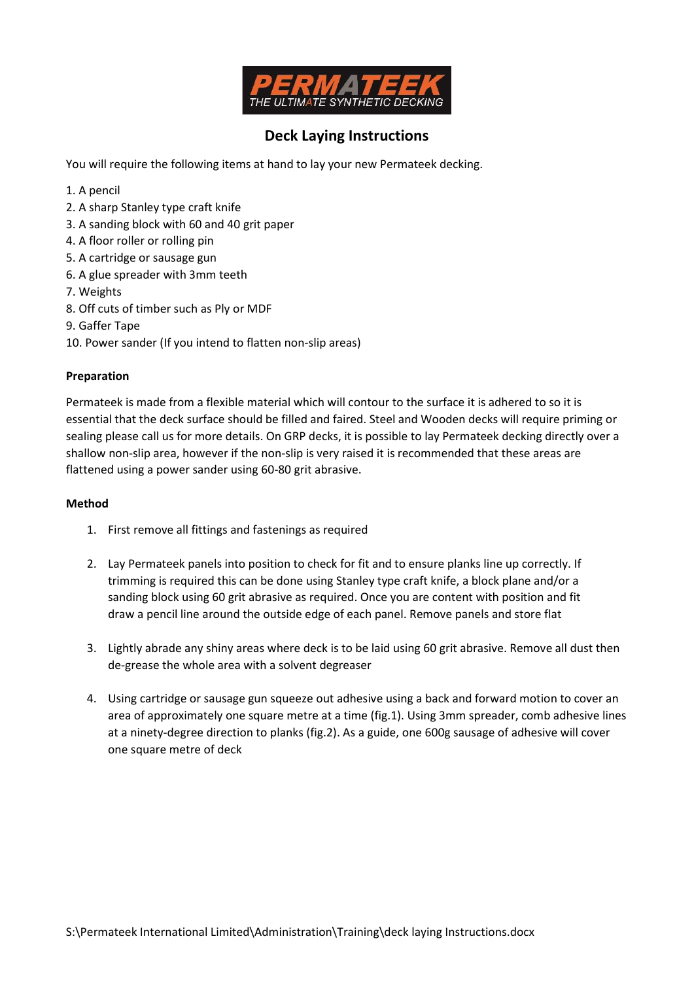

## Deck Laying Instructions

You will require the following items at hand to lay your new Permateek decking.

- 1. A pencil
- 2. A sharp Stanley type craft knife
- 3. A sanding block with 60 and 40 grit paper
- 4. A floor roller or rolling pin
- 5. A cartridge or sausage gun
- 6. A glue spreader with 3mm teeth
- 7. Weights
- 8. Off cuts of timber such as Ply or MDF
- 9. Gaffer Tape
- 10. Power sander (If you intend to flatten non-slip areas)

## Preparation

Permateek is made from a flexible material which will contour to the surface it is adhered to so it is essential that the deck surface should be filled and faired. Steel and Wooden decks will require priming or sealing please call us for more details. On GRP decks, it is possible to lay Permateek decking directly over a shallow non-slip area, however if the non-slip is very raised it is recommended that these areas are flattened using a power sander using 60-80 grit abrasive.

## Method

- 1. First remove all fittings and fastenings as required
- 2. Lay Permateek panels into position to check for fit and to ensure planks line up correctly. If trimming is required this can be done using Stanley type craft knife, a block plane and/or a sanding block using 60 grit abrasive as required. Once you are content with position and fit draw a pencil line around the outside edge of each panel. Remove panels and store flat
- 3. Lightly abrade any shiny areas where deck is to be laid using 60 grit abrasive. Remove all dust then de-grease the whole area with a solvent degreaser
- 4. Using cartridge or sausage gun squeeze out adhesive using a back and forward motion to cover an area of approximately one square metre at a time (fig.1). Using 3mm spreader, comb adhesive lines at a ninety-degree direction to planks (fig.2). As a guide, one 600g sausage of adhesive will cover one square metre of deck